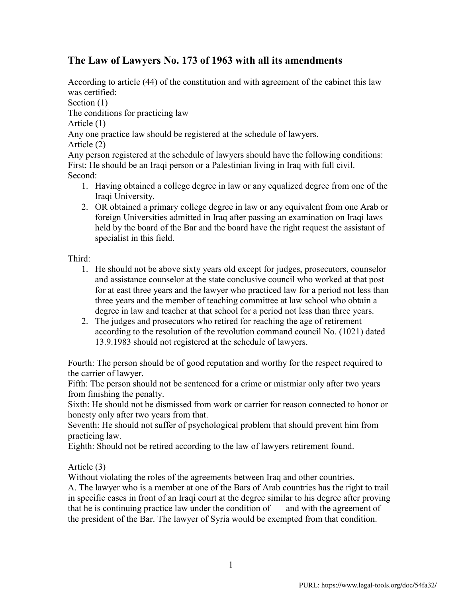# **The Law of Lawyers No. 173 of 1963 with all its amendments**

According to article (44) of the constitution and with agreement of the cabinet this law was certified: Section  $(1)$ The conditions for practicing law Article (1) Any one practice law should be registered at the schedule of lawyers. Article (2)

Any person registered at the schedule of lawyers should have the following conditions: First: He should be an Iraqi person or a Palestinian living in Iraq with full civil. Second:

- 1. Having obtained a college degree in law or any equalized degree from one of the Iraqi University.
- 2. OR obtained a primary college degree in law or any equivalent from one Arab or foreign Universities admitted in Iraq after passing an examination on Iraqi laws held by the board of the Bar and the board have the right request the assistant of specialist in this field.

Third:

- 1. He should not be above sixty years old except for judges, prosecutors, counselor and assistance counselor at the state conclusive council who worked at that post for at east three years and the lawyer who practiced law for a period not less than three years and the member of teaching committee at law school who obtain a degree in law and teacher at that school for a period not less than three years.
- 2. The judges and prosecutors who retired for reaching the age of retirement according to the resolution of the revolution command council No. (1021) dated 13.9.1983 should not registered at the schedule of lawyers.

Fourth: The person should be of good reputation and worthy for the respect required to the carrier of lawyer.

Fifth: The person should not be sentenced for a crime or mistmiar only after two years from finishing the penalty.

Sixth: He should not be dismissed from work or carrier for reason connected to honor or honesty only after two years from that.

Seventh: He should not suffer of psychological problem that should prevent him from practicing law.

Eighth: Should not be retired according to the law of lawyers retirement found.

Article (3)

Without violating the roles of the agreements between Iraq and other countries.

A. The lawyer who is a member at one of the Bars of Arab countries has the right to trail in specific cases in front of an Iraqi court at the degree similar to his degree after proving that he is continuing practice law under the condition of and with the agreement of the president of the Bar. The lawyer of Syria would be exempted from that condition.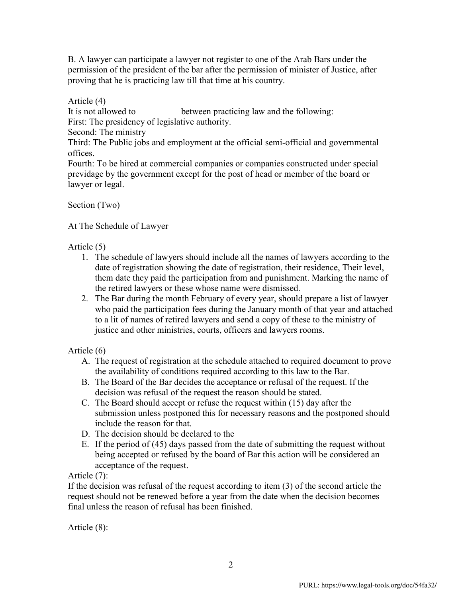B. A lawyer can participate a lawyer not register to one of the Arab Bars under the permission of the president of the bar after the permission of minister of Justice, after proving that he is practicing law till that time at his country.

Article (4)

It is not allowed to between practicing law and the following:

First: The presidency of legislative authority.

Second: The ministry

Third: The Public jobs and employment at the official semi-official and governmental offices.

Fourth: To be hired at commercial companies or companies constructed under special previdage by the government except for the post of head or member of the board or lawyer or legal.

Section (Two)

At The Schedule of Lawyer

Article (5)

- 1. The schedule of lawyers should include all the names of lawyers according to the date of registration showing the date of registration, their residence, Their level, them date they paid the participation from and punishment. Marking the name of the retired lawyers or these whose name were dismissed.
- 2. The Bar during the month February of every year, should prepare a list of lawyer who paid the participation fees during the January month of that year and attached to a lit of names of retired lawyers and send a copy of these to the ministry of justice and other ministries, courts, officers and lawyers rooms.

Article (6)

- A. The request of registration at the schedule attached to required document to prove the availability of conditions required according to this law to the Bar.
- B. The Board of the Bar decides the acceptance or refusal of the request. If the decision was refusal of the request the reason should be stated.
- C. The Board should accept or refuse the request within (15) day after the submission unless postponed this for necessary reasons and the postponed should include the reason for that.
- D. The decision should be declared to the
- E. If the period of (45) days passed from the date of submitting the request without being accepted or refused by the board of Bar this action will be considered an acceptance of the request.

Article (7):

If the decision was refusal of the request according to item (3) of the second article the request should not be renewed before a year from the date when the decision becomes final unless the reason of refusal has been finished.

Article (8):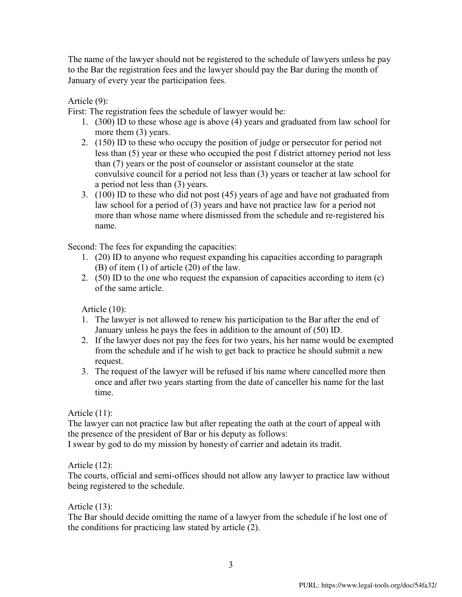The name of the lawyer should not be registered to the schedule of lawyers unless he pay to the Bar the registration fees and the lawyer should pay the Bar during the month of January of every year the participation fees.

Article (9):

First: The registration fees the schedule of lawyer would be:

- 1. (300) ID to these whose age is above (4) years and graduated from law school for more them (3) years.
- 2. (150) ID to these who occupy the position of judge or persecutor for period not less than (5) year or these who occupied the post f district attorney period not less than (7) years or the post of counselor or assistant counselor at the state convulsive council for a period not less than (3) years or teacher at law school for a period not less than (3) years.
- 3. (100) ID to these who did not post (45) years of age and have not graduated from law school for a period of (3) years and have not practice law for a period not more than whose name where dismissed from the schedule and re-registered his name.

Second: The fees for expanding the capacities:

- 1. (20) ID to anyone who request expanding his capacities according to paragraph (B) of item (1) of article (20) of the law.
- 2. (50) ID to the one who request the expansion of capacities according to item (c) of the same article.

Article (10):

- 1. The lawyer is not allowed to renew his participation to the Bar after the end of January unless he pays the fees in addition to the amount of (50) ID.
- 2. If the lawyer does not pay the fees for two years, his her name would be exempted from the schedule and if he wish to get back to practice he should submit a new request.
- 3. The request of the lawyer will be refused if his name where cancelled more then once and after two years starting from the date of canceller his name for the last time.

Article (11):

The lawyer can not practice law but after repeating the oath at the court of appeal with the presence of the president of Bar or his deputy as follows:

I swear by god to do my mission by honesty of carrier and adetain its tradit.

Article (12):

The courts, official and semi-offices should not allow any lawyer to practice law without being registered to the schedule.

Article (13):

The Bar should decide omitting the name of a lawyer from the schedule if he lost one of the conditions for practicing law stated by article (2).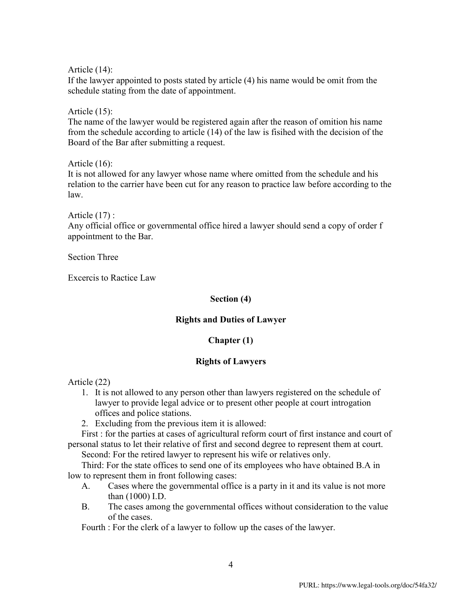Article (14):

If the lawyer appointed to posts stated by article (4) his name would be omit from the schedule stating from the date of appointment.

Article (15):

The name of the lawyer would be registered again after the reason of omition his name from the schedule according to article (14) of the law is fisihed with the decision of the Board of the Bar after submitting a request.

Article (16):

It is not allowed for any lawyer whose name where omitted from the schedule and his relation to the carrier have been cut for any reason to practice law before according to the law.

Article (17) : Any official office or governmental office hired a lawyer should send a copy of order f appointment to the Bar.

Section Three

Excercis to Ractice Law

## **Section (4)**

## **Rights and Duties of Lawyer**

## **Chapter (1)**

## **Rights of Lawyers**

Article (22)

- 1. It is not allowed to any person other than lawyers registered on the schedule of lawyer to provide legal advice or to present other people at court introgation offices and police stations.
- 2. Excluding from the previous item it is allowed:

First : for the parties at cases of agricultural reform court of first instance and court of personal status to let their relative of first and second degree to represent them at court.

Second: For the retired lawyer to represent his wife or relatives only.

Third: For the state offices to send one of its employees who have obtained B.A in low to represent them in front following cases:

- A. Cases where the governmental office is a party in it and its value is not more than (1000) I.D.
- B. The cases among the governmental offices without consideration to the value of the cases.

Fourth : For the clerk of a lawyer to follow up the cases of the lawyer.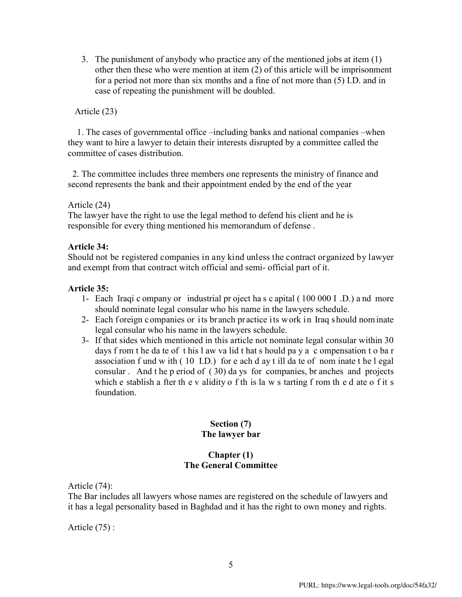3. The punishment of anybody who practice any of the mentioned jobs at item (1) other then these who were mention at item (2) of this article will be imprisonment for a period not more than six months and a fine of not more than (5) I.D. and in case of repeating the punishment will be doubled.

## Article (23)

 1. The cases of governmental office –including banks and national companies –when they want to hire a lawyer to detain their interests disrupted by a committee called the committee of cases distribution.

 2. The committee includes three members one represents the ministry of finance and second represents the bank and their appointment ended by the end of the year

## Article (24)

The lawyer have the right to use the legal method to defend his client and he is responsible for every thing mentioned his memorandum of defense .

## **Article 34:**

Should not be registered companies in any kind unless the contract organized by lawyer and exempt from that contract witch official and semi- official part of it.

## **Article 35:**

- 1- Each Iraqi c ompany or industrial pr oject ha s c apital ( 100 000 I .D.) a nd more should nominate legal consular who his name in the lawyers schedule.
- 2- Each foreign companies or its branch practice its work in Iraq should nominate legal consular who his name in the lawyers schedule.
- 3- If that sides which mentioned in this article not nominate legal consular within 30 days f rom t he da te of t his l aw va lid t hat s hould pa y a c ompensation t o ba r association f und w ith ( 10 I.D.) for e ach d ay t ill da te of nom inate t he l egal consular . And t he p eriod of ( 30) da ys for companies, br anches and projects which e stablish a fter the v alidity of the state v starting f rom the d ate of it s foundation.

## **Section (7) The lawyer bar**

#### **Chapter (1) The General Committee**

Article (74):

The Bar includes all lawyers whose names are registered on the schedule of lawyers and it has a legal personality based in Baghdad and it has the right to own money and rights.

Article (75) :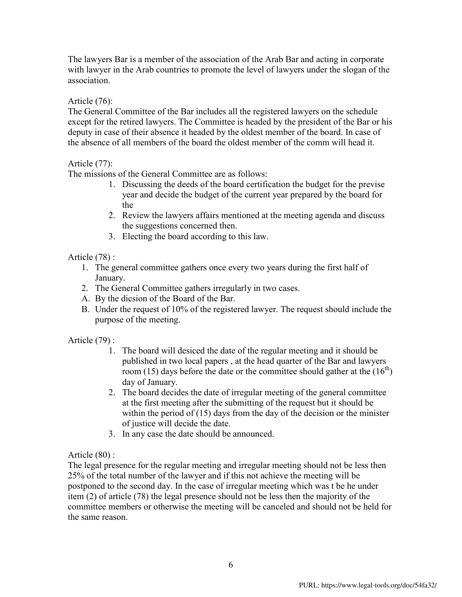The lawyers Bar is a member of the association of the Arab Bar and acting in corporate with lawyer in the Arab countries to promote the level of lawyers under the slogan of the association.

## Article (76):

The General Committee of the Bar includes all the registered lawyers on the schedule except for the retired lawyers. The Committee is headed by the president of the Bar or his deputy in case of their absence it headed by the oldest member of the board. In case of the absence of all members of the board the oldest member of the comm will head it.

## Article (77):

The missions of the General Committee are as follows:

- 1. Discussing the deeds of the board certification the budget for the previse year and decide the budget of the current year prepared by the board for the
- 2. Review the lawyers affairs mentioned at the meeting agenda and discuss the suggestions concerned then.
- 3. Electing the board according to this law.

## Article (78) :

- 1. The general committee gathers once every two years during the first half of January.
- 2. The General Committee gathers irregularly in two cases.
- A. By the dicsion of the Board of the Bar.
- B. Under the request of 10% of the registered lawyer. The request should include the purpose of the meeting.

Article (79) :

- 1. The board will desiced the date of the regular meeting and it should be published in two local papers , at the head quarter of the Bar and lawyers room (15) days before the date or the committee should gather at the  $(16<sup>th</sup>)$ day of January.
- 2. The board decides the date of irregular meeting of the general committee at the first meeting after the submitting of the request but it should be within the period of (15) days from the day of the decision or the minister of justice will decide the date.
- 3. In any case the date should be announced.

Article (80) :

The legal presence for the regular meeting and irregular meeting should not be less then 25% of the total number of the lawyer and if this not achieve the meeting will be postponed to the second day. In the case of irregular meeting which was t be he under item (2) of article (78) the legal presence should not be less then the majority of the committee members or otherwise the meeting will be canceled and should not be held for the same reason.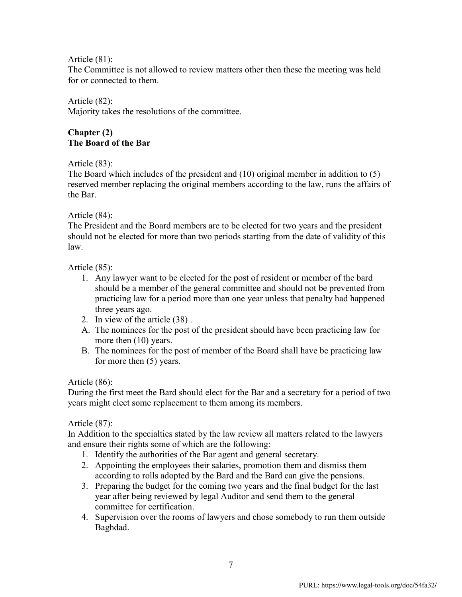Article (81):

The Committee is not allowed to review matters other then these the meeting was held for or connected to them.

## Article (82):

Majority takes the resolutions of the committee.

## **Chapter (2) The Board of the Bar**

Article (83):

The Board which includes of the president and (10) original member in addition to (5) reserved member replacing the original members according to the law, runs the affairs of the Bar.

## Article (84):

The President and the Board members are to be elected for two years and the president should not be elected for more than two periods starting from the date of validity of this law.

Article (85):

- 1. Any lawyer want to be elected for the post of resident or member of the bard should be a member of the general committee and should not be prevented from practicing law for a period more than one year unless that penalty had happened three years ago.
- 2. In view of the article (38) .
- A. The nominees for the post of the president should have been practicing law for more then (10) years.
- B. The nominees for the post of member of the Board shall have be practicing law for more then (5) years.

## Article (86):

During the first meet the Bard should elect for the Bar and a secretary for a period of two years might elect some replacement to them among its members.

Article (87):

In Addition to the specialties stated by the law review all matters related to the lawyers and ensure their rights some of which are the following:

- 1. Identify the authorities of the Bar agent and general secretary.
- 2. Appointing the employees their salaries, promotion them and dismiss them according to rolls adopted by the Bard and the Bard can give the pensions.
- 3. Preparing the budget for the coming two years and the final budget for the last year after being reviewed by legal Auditor and send them to the general committee for certification.
- 4. Supervision over the rooms of lawyers and chose somebody to run them outside Baghdad.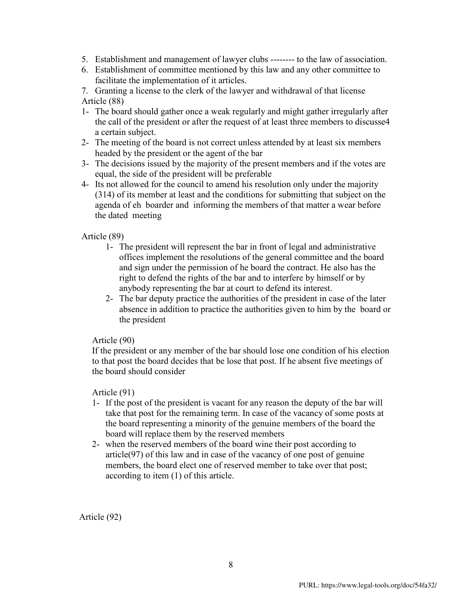- 5. Establishment and management of lawyer clubs -------- to the law of association.
- 6. Establishment of committee mentioned by this law and any other committee to facilitate the implementation of it articles.

7. Granting a license to the clerk of the lawyer and withdrawal of that license Article (88)

- 1- The board should gather once a weak regularly and might gather irregularly after the call of the president or after the request of at least three members to discusse4 a certain subject.
- 2- The meeting of the board is not correct unless attended by at least six members headed by the president or the agent of the bar
- 3- The decisions issued by the majority of the present members and if the votes are equal, the side of the president will be preferable
- 4- Its not allowed for the council to amend his resolution only under the majority (314) of its member at least and the conditions for submitting that subject on the agenda of eh boarder and informing the members of that matter a wear before the dated meeting

## Article (89)

- 1- The president will represent the bar in front of legal and administrative offices implement the resolutions of the general committee and the board and sign under the permission of he board the contract. He also has the right to defend the rights of the bar and to interfere by himself or by anybody representing the bar at court to defend its interest.
- 2- The bar deputy practice the authorities of the president in case of the later absence in addition to practice the authorities given to him by the board or the president

## Article (90)

If the president or any member of the bar should lose one condition of his election to that post the board decides that be lose that post. If he absent five meetings of the board should consider

Article (91)

- 1- If the post of the president is vacant for any reason the deputy of the bar will take that post for the remaining term. In case of the vacancy of some posts at the board representing a minority of the genuine members of the board the board will replace them by the reserved members
- 2- when the reserved members of the board wine their post according to article(97) of this law and in case of the vacancy of one post of genuine members, the board elect one of reserved member to take over that post; according to item (1) of this article.

Article (92)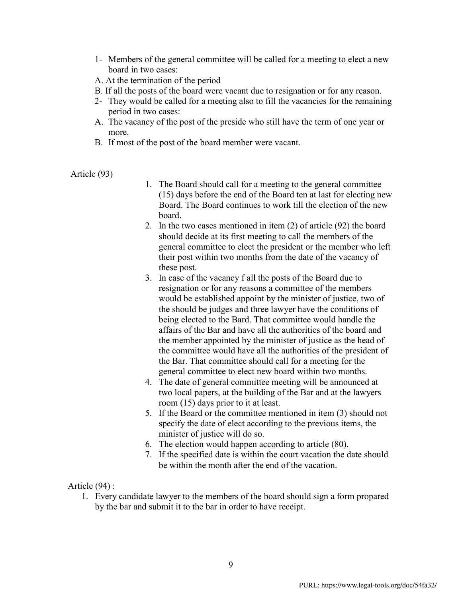- 1- Members of the general committee will be called for a meeting to elect a new board in two cases:
- A. At the termination of the period
- B. If all the posts of the board were vacant due to resignation or for any reason.
- 2- They would be called for a meeting also to fill the vacancies for the remaining period in two cases:
- A. The vacancy of the post of the preside who still have the term of one year or more.
- B. If most of the post of the board member were vacant.

Article (93)

- 1. The Board should call for a meeting to the general committee (15) days before the end of the Board ten at last for electing new Board. The Board continues to work till the election of the new board.
- 2. In the two cases mentioned in item (2) of article (92) the board should decide at its first meeting to call the members of the general committee to elect the president or the member who left their post within two months from the date of the vacancy of these post.
- 3. In case of the vacancy f all the posts of the Board due to resignation or for any reasons a committee of the members would be established appoint by the minister of justice, two of the should be judges and three lawyer have the conditions of being elected to the Bard. That committee would handle the affairs of the Bar and have all the authorities of the board and the member appointed by the minister of justice as the head of the committee would have all the authorities of the president of the Bar. That committee should call for a meeting for the general committee to elect new board within two months.
- 4. The date of general committee meeting will be announced at two local papers, at the building of the Bar and at the lawyers room (15) days prior to it at least.
- 5. If the Board or the committee mentioned in item (3) should not specify the date of elect according to the previous items, the minister of justice will do so.
- 6. The election would happen according to article (80).
- 7. If the specified date is within the court vacation the date should be within the month after the end of the vacation.

Article (94) :

1. Every candidate lawyer to the members of the board should sign a form propared by the bar and submit it to the bar in order to have receipt.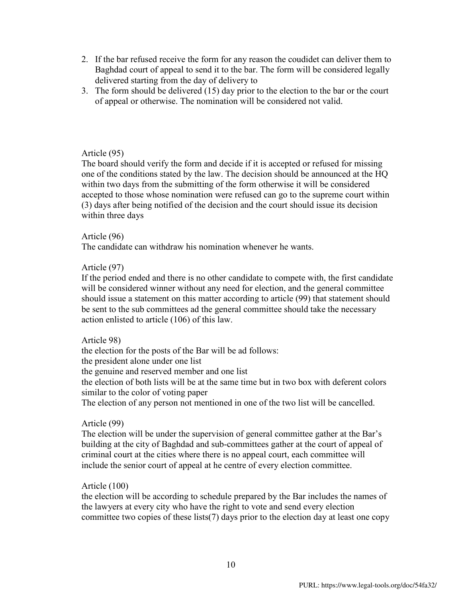- 2. If the bar refused receive the form for any reason the coudidet can deliver them to Baghdad court of appeal to send it to the bar. The form will be considered legally delivered starting from the day of delivery to
- 3. The form should be delivered (15) day prior to the election to the bar or the court of appeal or otherwise. The nomination will be considered not valid.

## Article (95)

The board should verify the form and decide if it is accepted or refused for missing one of the conditions stated by the law. The decision should be announced at the HQ within two days from the submitting of the form otherwise it will be considered accepted to those whose nomination were refused can go to the supreme court within (3) days after being notified of the decision and the court should issue its decision within three days

## Article (96)

The candidate can withdraw his nomination whenever he wants.

## Article (97)

If the period ended and there is no other candidate to compete with, the first candidate will be considered winner without any need for election, and the general committee should issue a statement on this matter according to article (99) that statement should be sent to the sub committees ad the general committee should take the necessary action enlisted to article (106) of this law.

## Article 98)

the election for the posts of the Bar will be ad follows: the president alone under one list the genuine and reserved member and one list the election of both lists will be at the same time but in two box with deferent colors similar to the color of voting paper The election of any person not mentioned in one of the two list will be cancelled.

#### Article (99)

The election will be under the supervision of general committee gather at the Bar's building at the city of Baghdad and sub-committees gather at the court of appeal of criminal court at the cities where there is no appeal court, each committee will include the senior court of appeal at he centre of every election committee.

#### Article (100)

the election will be according to schedule prepared by the Bar includes the names of the lawyers at every city who have the right to vote and send every election committee two copies of these lists(7) days prior to the election day at least one copy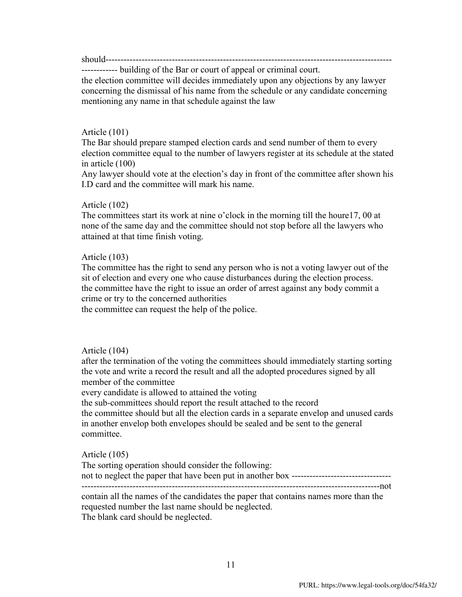should-------------------

------------ building of the Bar or court of appeal or criminal court.

the election committee will decides immediately upon any objections by any lawyer concerning the dismissal of his name from the schedule or any candidate concerning mentioning any name in that schedule against the law

#### Article (101)

The Bar should prepare stamped election cards and send number of them to every election committee equal to the number of lawyers register at its schedule at the stated in article (100)

Any lawyer should vote at the election's day in front of the committee after shown his I.D card and the committee will mark his name.

#### Article (102)

The committees start its work at nine o'clock in the morning till the houre17, 00 at none of the same day and the committee should not stop before all the lawyers who attained at that time finish voting.

#### Article (103)

The committee has the right to send any person who is not a voting lawyer out of the sit of election and every one who cause disturbances during the election process. the committee have the right to issue an order of arrest against any body commit a crime or try to the concerned authorities

the committee can request the help of the police.

## Article (104)

after the termination of the voting the committees should immediately starting sorting the vote and write a record the result and all the adopted procedures signed by all member of the committee

every candidate is allowed to attained the voting

the sub-committees should report the result attached to the record

the committee should but all the election cards in a separate envelop and unused cards in another envelop both envelopes should be sealed and be sent to the general committee.

#### Article (105)

The sorting operation should consider the following: not to neglect the paper that have been put in another box ---------------------------------

---------------------------------------------------------------------------------------------------not contain all the names of the candidates the paper that contains names more than the requested number the last name should be neglected. The blank card should be neglected.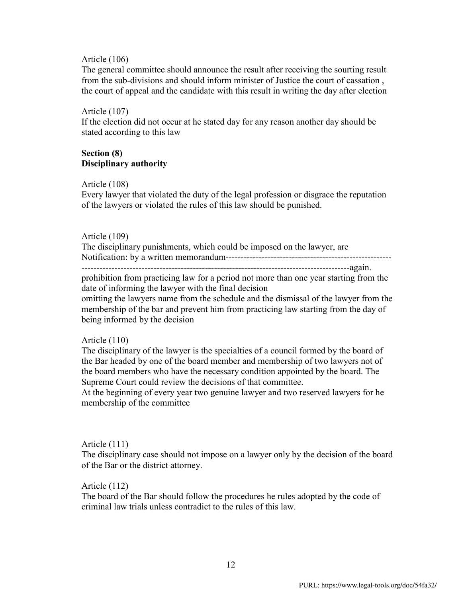#### Article (106)

The general committee should announce the result after receiving the sourting result from the sub-divisions and should inform minister of Justice the court of cassation , the court of appeal and the candidate with this result in writing the day after election

#### Article (107)

If the election did not occur at he stated day for any reason another day should be stated according to this law

## **Section (8) Disciplinary authority**

#### Article (108)

Every lawyer that violated the duty of the legal profession or disgrace the reputation of the lawyers or violated the rules of this law should be punished.

#### Article (109)

The disciplinary punishments, which could be imposed on the lawyer, are Notification: by a written memorandum------------------------------------------------------- -----------------------------------------------------------------------------------------again.

prohibition from practicing law for a period not more than one year starting from the date of informing the lawyer with the final decision

omitting the lawyers name from the schedule and the dismissal of the lawyer from the membership of the bar and prevent him from practicing law starting from the day of being informed by the decision

#### Article (110)

The disciplinary of the lawyer is the specialties of a council formed by the board of the Bar headed by one of the board member and membership of two lawyers not of the board members who have the necessary condition appointed by the board. The Supreme Court could review the decisions of that committee.

At the beginning of every year two genuine lawyer and two reserved lawyers for he membership of the committee

## Article (111)

The disciplinary case should not impose on a lawyer only by the decision of the board of the Bar or the district attorney.

#### Article (112)

The board of the Bar should follow the procedures he rules adopted by the code of criminal law trials unless contradict to the rules of this law.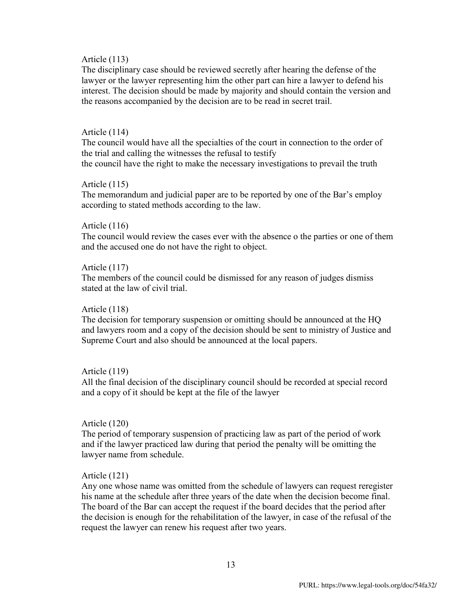#### Article (113)

The disciplinary case should be reviewed secretly after hearing the defense of the lawyer or the lawyer representing him the other part can hire a lawyer to defend his interest. The decision should be made by majority and should contain the version and the reasons accompanied by the decision are to be read in secret trail.

#### Article (114)

The council would have all the specialties of the court in connection to the order of the trial and calling the witnesses the refusal to testify the council have the right to make the necessary investigations to prevail the truth

#### Article (115)

The memorandum and judicial paper are to be reported by one of the Bar's employ according to stated methods according to the law.

#### Article (116)

The council would review the cases ever with the absence o the parties or one of them and the accused one do not have the right to object.

#### Article (117)

The members of the council could be dismissed for any reason of judges dismiss stated at the law of civil trial.

#### Article (118)

The decision for temporary suspension or omitting should be announced at the HQ and lawyers room and a copy of the decision should be sent to ministry of Justice and Supreme Court and also should be announced at the local papers.

## Article (119)

All the final decision of the disciplinary council should be recorded at special record and a copy of it should be kept at the file of the lawyer

#### Article (120)

The period of temporary suspension of practicing law as part of the period of work and if the lawyer practiced law during that period the penalty will be omitting the lawyer name from schedule.

## Article (121)

Any one whose name was omitted from the schedule of lawyers can request reregister his name at the schedule after three years of the date when the decision become final. The board of the Bar can accept the request if the board decides that the period after the decision is enough for the rehabilitation of the lawyer, in case of the refusal of the request the lawyer can renew his request after two years.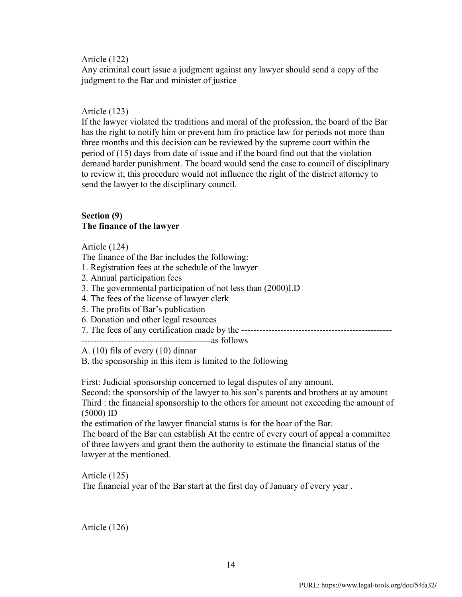## Article (122)

Any criminal court issue a judgment against any lawyer should send a copy of the judgment to the Bar and minister of justice

## Article (123)

If the lawyer violated the traditions and moral of the profession, the board of the Bar has the right to notify him or prevent him fro practice law for periods not more than three months and this decision can be reviewed by the supreme court within the period of (15) days from date of issue and if the board find out that the violation demand harder punishment. The board would send the case to council of disciplinary to review it; this procedure would not influence the right of the district attorney to send the lawyer to the disciplinary council.

## **Section (9) The finance of the lawyer**

Article (124)

The finance of the Bar includes the following:

- 1. Registration fees at the schedule of the lawyer
- 2. Annual participation fees
- 3. The governmental participation of not less than (2000)I.D
- 4. The fees of the license of lawyer clerk
- 5. The profits of Bar's publication
- 6. Donation and other legal resources
- 7. The fees of any certification made by the --------------------------------------------------

-------------------------------------------as follows

A. (10) fils of every (10) dinnar

B. the sponsorship in this item is limited to the following

First: Judicial sponsorship concerned to legal disputes of any amount.

Second: the sponsorship of the lawyer to his son's parents and brothers at ay amount Third : the financial sponsorship to the others for amount not exceeding the amount of (5000) ID

the estimation of the lawyer financial status is for the boar of the Bar.

The board of the Bar can establish At the centre of every court of appeal a committee of three lawyers and grant them the authority to estimate the financial status of the lawyer at the mentioned.

Article (125) The financial year of the Bar start at the first day of January of every year .

Article (126)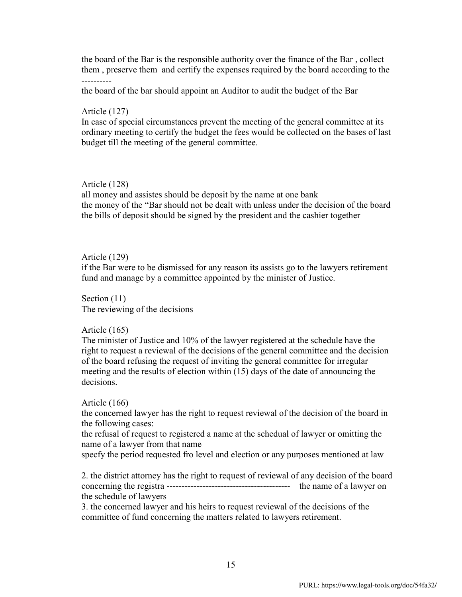the board of the Bar is the responsible authority over the finance of the Bar , collect them , preserve them and certify the expenses required by the board according to the ----------

the board of the bar should appoint an Auditor to audit the budget of the Bar

## Article (127)

In case of special circumstances prevent the meeting of the general committee at its ordinary meeting to certify the budget the fees would be collected on the bases of last budget till the meeting of the general committee.

## Article (128)

all money and assistes should be deposit by the name at one bank the money of the "Bar should not be dealt with unless under the decision of the board the bills of deposit should be signed by the president and the cashier together

## Article (129)

if the Bar were to be dismissed for any reason its assists go to the lawyers retirement fund and manage by a committee appointed by the minister of Justice.

Section  $(11)$ The reviewing of the decisions

## Article (165)

The minister of Justice and 10% of the lawyer registered at the schedule have the right to request a reviewal of the decisions of the general committee and the decision of the board refusing the request of inviting the general committee for irregular meeting and the results of election within (15) days of the date of announcing the decisions.

## Article (166)

the concerned lawyer has the right to request reviewal of the decision of the board in the following cases:

the refusal of request to registered a name at the schedual of lawyer or omitting the name of a lawyer from that name

specfy the period requested fro level and election or any purposes mentioned at law

2. the district attorney has the right to request of reviewal of any decision of the board concerning the registra ----------------------------------------- the name of a lawyer on the schedule of lawyers

3. the concerned lawyer and his heirs to request reviewal of the decisions of the committee of fund concerning the matters related to lawyers retirement.